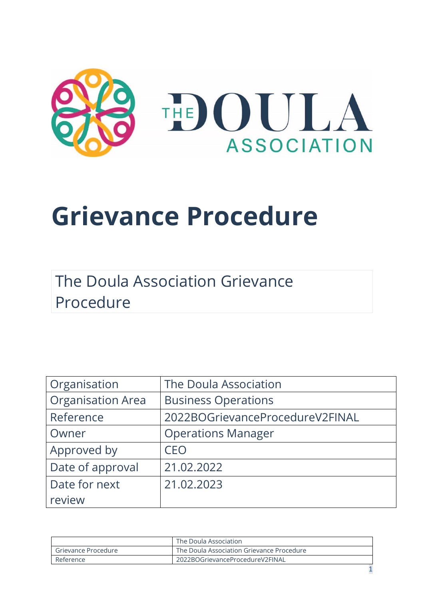

# **Grievance Procedure**

The Doula Association Grievance Procedure

| Organisation             | The Doula Association           |
|--------------------------|---------------------------------|
| <b>Organisation Area</b> | <b>Business Operations</b>      |
| Reference                | 2022BOGrievanceProcedureV2FINAL |
| Owner                    | <b>Operations Manager</b>       |
| Approved by              | CEO                             |
| Date of approval         | 21.02.2022                      |
| Date for next            | 21.02.2023                      |
| review                   |                                 |

|                     | The Doula Association                     |
|---------------------|-------------------------------------------|
| Grievance Procedure | The Doula Association Grievance Procedure |
| Reference           | 2022BOGrievanceProcedureV2FINAL           |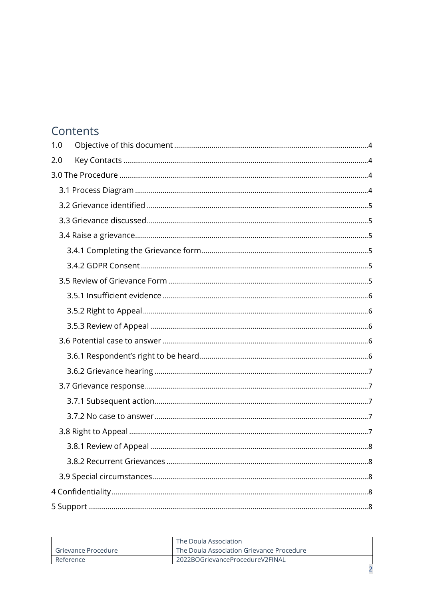# Contents

| 1.0 |  |
|-----|--|
| 2.0 |  |
|     |  |
|     |  |
|     |  |
|     |  |
|     |  |
|     |  |
|     |  |
|     |  |
|     |  |
|     |  |
|     |  |
|     |  |
|     |  |
|     |  |
|     |  |
|     |  |
|     |  |
|     |  |
|     |  |
|     |  |
|     |  |
|     |  |
|     |  |

|                     | The Doula Association                     |
|---------------------|-------------------------------------------|
| Grievance Procedure | The Doula Association Grievance Procedure |
| Reference           | 2022BOGrievanceProcedureV2FINAL           |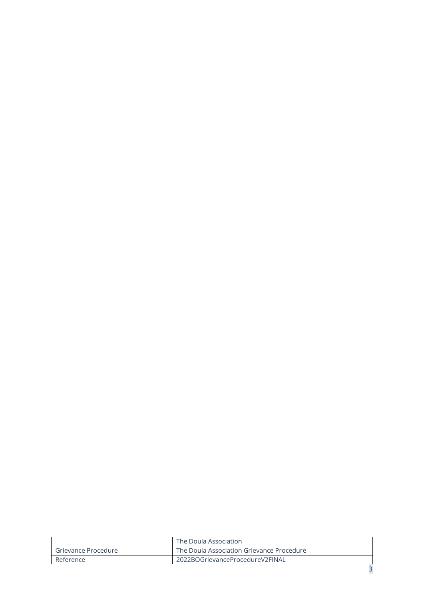|                     | The Doula Association                     |
|---------------------|-------------------------------------------|
| Grievance Procedure | The Doula Association Grievance Procedure |
| Reference           | 2022BOGrievanceProcedureV2FINAL           |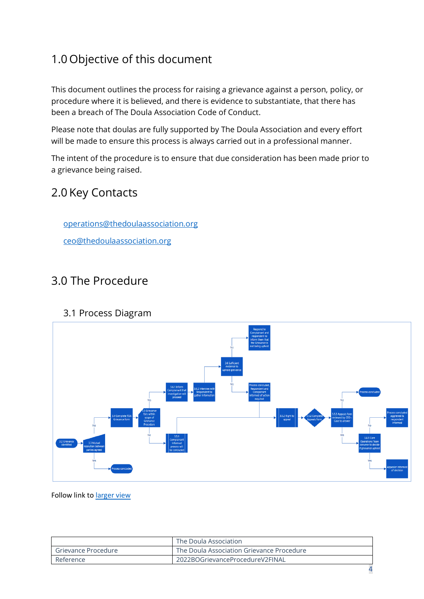# <span id="page-3-0"></span>1.0 Objective of this document

This document outlines the process for raising a grievance against a person, policy, or procedure where it is believed, and there is evidence to substantiate, that there has been a breach of The Doula Association Code of Conduct.

Please note that doulas are fully supported by The Doula Association and every effort will be made to ensure this process is always carried out in a professional manner.

The intent of the procedure is to ensure that due consideration has been made prior to a grievance being raised.

## <span id="page-3-1"></span>2.0 Key Contacts

[operations@thedoulaassociation.org](mailto:operations@thedoulaassociation.org) [ceo@thedoulaassociation.org](mailto:ceo@thedoulaassociation.org)

# <span id="page-3-2"></span>3.0 The Procedure

<span id="page-3-3"></span>

## 3.1 Process Diagram

Follow link to [larger view](https://teams.microsoft.com/l/file/8041B778-169D-474C-86F1-C9378898F230?tenantId=5564640c-aa11-4daf-8d7d-76be1f8a0856&fileType=pdf&objectUrl=https%3A%2F%2Fthedoulaassociation247.sharepoint.com%2Fsites%2FTheDoulaAssociation%2FShared%20Documents%2FGeneral%2FPublished%20Documents%2F2020BoGrievanceProcessDiagramV1Published.pdf&baseUrl=https%3A%2F%2Fthedoulaassociation247.sharepoint.com%2Fsites%2FTheDoulaAssociation&serviceName=teams&threadId=19:0797aeb4b570484c881bff6bd97fb8c3@thread.tacv2&groupId=d6b12d55-b923-40ef-be68-7d3eec4ad2e3)

|                     | The Doula Association                     |
|---------------------|-------------------------------------------|
| Grievance Procedure | The Doula Association Grievance Procedure |
| Reference           | 2022BOGrievanceProcedureV2FINAL           |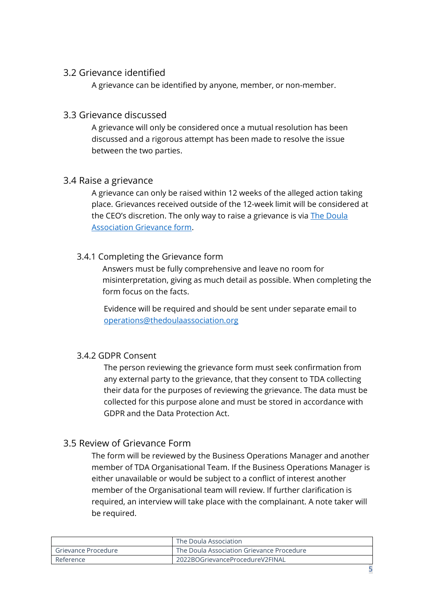#### <span id="page-4-0"></span>3.2 Grievance identified

A grievance can be identified by anyone, member, or non-member.

#### <span id="page-4-1"></span>3.3 Grievance discussed

A grievance will only be considered once a mutual resolution has been discussed and a rigorous attempt has been made to resolve the issue between the two parties.

#### <span id="page-4-2"></span>3.4 Raise a grievance

A grievance can only be raised within 12 weeks of the alleged action taking place. Grievances received outside of the 12-week limit will be considered at the CEO's discretion. The only way to raise a grievance is via [The Doula](https://forms.office.com/r/jvcRVNnCRZ)  [Association Grievance form.](https://forms.office.com/r/jvcRVNnCRZ)

#### <span id="page-4-3"></span>3.4.1 Completing the Grievance form

Answers must be fully comprehensive and leave no room for misinterpretation, giving as much detail as possible. When completing the form focus on the facts.

Evidence will be required and should be sent under separate email to [operations@thedoulaassociation.org](mailto:operations@thedoulaassociation.org)

#### <span id="page-4-4"></span>3.4.2 GDPR Consent

The person reviewing the grievance form must seek confirmation from any external party to the grievance, that they consent to TDA collecting their data for the purposes of reviewing the grievance. The data must be collected for this purpose alone and must be stored in accordance with GDPR and the Data Protection Act.

## <span id="page-4-5"></span>3.5 Review of Grievance Form

The form will be reviewed by the Business Operations Manager and another member of TDA Organisational Team. If the Business Operations Manager is either unavailable or would be subject to a conflict of interest another member of the Organisational team will review. If further clarification is required, an interview will take place with the complainant. A note taker will be required.

|                     | The Doula Association                     |
|---------------------|-------------------------------------------|
| Grievance Procedure | The Doula Association Grievance Procedure |
| Reference           | 2022BOGrievanceProcedureV2FINAL           |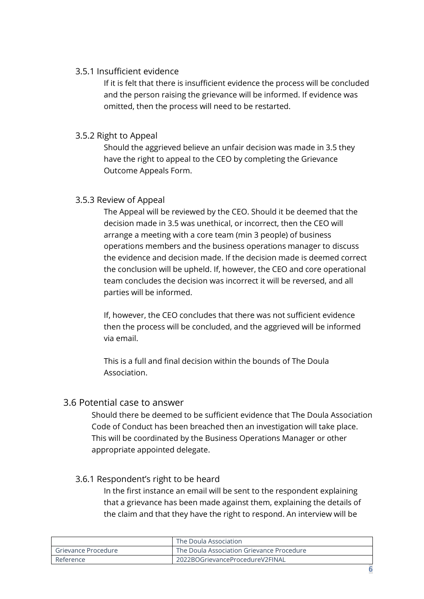#### <span id="page-5-0"></span>3.5.1 Insufficient evidence

If it is felt that there is insufficient evidence the process will be concluded and the person raising the grievance will be informed. If evidence was omitted, then the process will need to be restarted.

#### <span id="page-5-1"></span>3.5.2 Right to Appeal

Should the aggrieved believe an unfair decision was made in 3.5 they have the right to appeal to the CEO by completing the Grievance Outcome Appeals Form.

#### <span id="page-5-2"></span>3.5.3 Review of Appeal

The Appeal will be reviewed by the CEO. Should it be deemed that the decision made in 3.5 was unethical, or incorrect, then the CEO will arrange a meeting with a core team (min 3 people) of business operations members and the business operations manager to discuss the evidence and decision made. If the decision made is deemed correct the conclusion will be upheld. If, however, the CEO and core operational team concludes the decision was incorrect it will be reversed, and all parties will be informed.

If, however, the CEO concludes that there was not sufficient evidence then the process will be concluded, and the aggrieved will be informed via email.

This is a full and final decision within the bounds of The Doula Association.

## <span id="page-5-3"></span>3.6 Potential case to answer

Should there be deemed to be sufficient evidence that The Doula Association Code of Conduct has been breached then an investigation will take place. This will be coordinated by the Business Operations Manager or other appropriate appointed delegate.

## <span id="page-5-4"></span>3.6.1 Respondent's right to be heard

In the first instance an email will be sent to the respondent explaining that a grievance has been made against them, explaining the details of the claim and that they have the right to respond. An interview will be

|                     | The Doula Association                     |
|---------------------|-------------------------------------------|
| Grievance Procedure | The Doula Association Grievance Procedure |
| Reference           | 2022BOGrievanceProcedureV2FINAL           |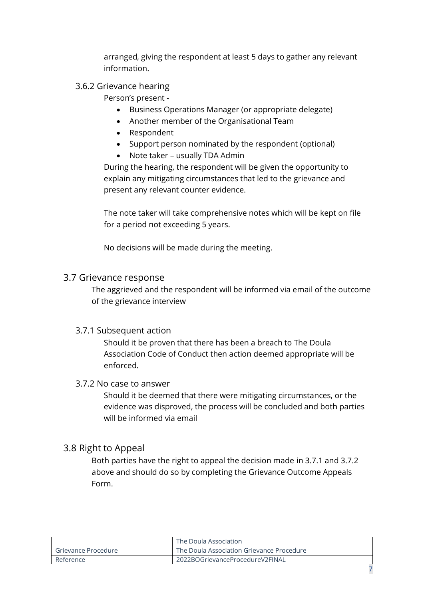arranged, giving the respondent at least 5 days to gather any relevant information.

#### <span id="page-6-0"></span>3.6.2 Grievance hearing

Person's present -

- Business Operations Manager (or appropriate delegate)
- Another member of the Organisational Team
- Respondent
- Support person nominated by the respondent (optional)
- Note taker usually TDA Admin

During the hearing, the respondent will be given the opportunity to explain any mitigating circumstances that led to the grievance and present any relevant counter evidence.

The note taker will take comprehensive notes which will be kept on file for a period not exceeding 5 years.

No decisions will be made during the meeting.

#### <span id="page-6-1"></span>3.7 Grievance response

The aggrieved and the respondent will be informed via email of the outcome of the grievance interview

#### <span id="page-6-2"></span>3.7.1 Subsequent action

Should it be proven that there has been a breach to The Doula Association Code of Conduct then action deemed appropriate will be enforced.

#### <span id="page-6-3"></span>3.7.2 No case to answer

Should it be deemed that there were mitigating circumstances, or the evidence was disproved, the process will be concluded and both parties will be informed via email

#### <span id="page-6-4"></span>3.8 Right to Appeal

Both parties have the right to appeal the decision made in 3.7.1 and 3.7.2 above and should do so by completing the Grievance Outcome Appeals Form.

|                     | The Doula Association                     |
|---------------------|-------------------------------------------|
| Grievance Procedure | The Doula Association Grievance Procedure |
| Reference           | 2022BOGrievanceProcedureV2FINAL           |